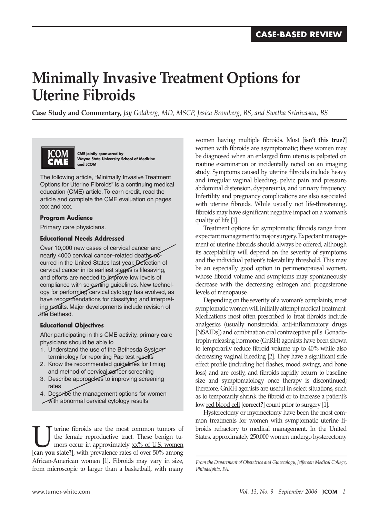# **Minimally Invasive Treatment Options for Uterine Fibroids**

**Case Study and Commentary,** *Jay Goldberg, MD, MSCP, Jesica Bromberg, BS, and Swetha Srinivasan, BS*



 **CME jointly sponsored by Wayne State University School of Medicine and JCOM**

The following article, "Minimally Invasive Treatment Options for Uterine Fibroids" is a continuing medical education (CME) article. To earn credit, read the article and complete the CME evaluation on pages xxx and xxx.

## **Program Audience**

Primary care physicians.

## **Educational Needs Addressed**

Over 10,000 new cases of cervical cancer and nearly 4000 cervical cancer-related deaths occurred in the United States last year. Detection of cervical cancer in its earliest stages is lifesaving, and efforts are needed to improve low levels of compliance with screening guidelines. New technology for performing cervical cytology has evolved, as have recommendations for classifying and interpreting results. Major developments include revision of the Bethesd.

## **Educational Objectives**

After participating in this CME activity, primary care physicians should be able to

- 1. Understand the use of the Bethesda System terminology for reporting Pap test results
- 2. Know the recommended guidelines for timing and method of cervical cancer screening
- 3. Describe approaches to improving screening rates
- 4. Describe the management options for women
- $\sqrt{\frac{1}{100}}$  abnormal cervical cytology results

Uterine fibroids are the most common tumors of<br>the female reproductive tract. These benign tu-<br>mors occur in approximately  $\underline{x}x\%$  of U.S. women the female reproductive tract. These benign tumors occur in approximately  $xx\%$  of U.S. women [**can you state?**], with prevalence rates of over 50% among African-American women [1]. Fibroids may vary in size, from microscopic to larger than a basketball, with many

women having multiple fibroids. Most [**isn't this true?**] women with fibroids are asymptomatic; these women may be diagnosed when an enlarged firm uterus is palpated on routine examination or incidentally noted on an imaging study. Symptoms caused by uterine fibroids include heavy and irregular vaginal bleeding, pelvic pain and pressure, abdominal distension, dyspareunia, and urinary frequency. Infertility and pregnancy complications are also associated with uterine fibroids. While usually not life-threatening, fibroids may have significant negative impact on a woman's quality of life [1].

Treatment options for symptomatic fibroids range from expectant management to major surgery. Expectant management of uterine fibroids should always be offered, although its acceptability will depend on the severity of symptoms and the individual patient's tolerability threshold. This may be an especially good option in perimenopausal women, whose fibroid volume and symptoms may spontaneously decrease with the decreasing estrogen and progesterone levels of menopause.

Depending on the severity of a woman's complaints, most symptomatic women will initially attempt medical treatment. Medications most often prescribed to treat fibroids include analgesics (usually nonsteroidal anti-inflammatory drugs [NSAIDs]) and combination oral contraceptive pills. Gonadotropin-releasing hormone (GnRH) agonists have been shown to temporarily reduce fibroid volume up to 40% while also decreasing vaginal bleeding [2]. They have a significant side effect profile (including hot flashes, mood swings, and bone loss) and are costly, and fibroids rapidly return to baseline size and symptomatology once therapy is discontinued; therefore, GnRH agonists are useful in select situations, such as to temporarily shrink the fibroid or to increase a patient's low red blood cell [**correct?**] count prior to surgery [1].

Hysterectomy or myomectomy have been the most common treatments for women with symptomatic uterine fibroids refractory to medical management. In the United States, approximately 250,000 women undergo hysterectomy

*From the Department of Obstetrics and Gynecology, Jefferson Medical College, Philadelphia, PA.*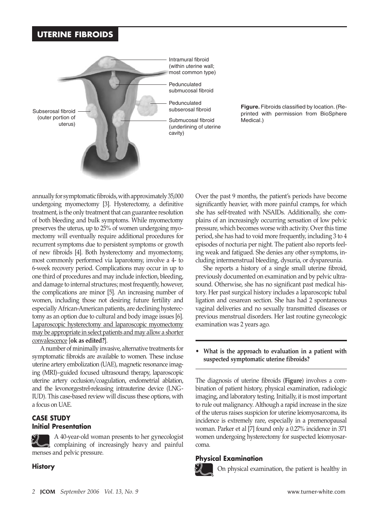

**Figure.** Fibroids classified by location. (Reprinted with permission from BioSphere Medical.)

annually for symptomatic fibroids, with approximately 35,000 undergoing myomectomy [3]. Hysterectomy, a definitive treatment, is the only treatment that can guarantee resolution of both bleeding and bulk symptoms. While myomectomy preserves the uterus, up to 25% of women undergoing myomectomy will eventually require additional procedures for recurrent symptoms due to persistent symptoms or growth of new fibroids [4]. Both hysterectomy and myomectomy, most commonly performed via laparotomy, involve a 4- to 6-week recovery period. Complications may occur in up to one third of procedures and may include infection, bleeding, and damage to internal structures; most frequently, however, the complications are minor [5]. An increasing number of women, including those not desiring future fertility and especially African-American patients, are declining hysterectomy as an option due to cultural and body image issues [6]. Laparoscopic hysterectomy and laparoscopic myomectomy may be appropriate in select patients and may allow a shorter convalescence [**ok as edited?**].

A number of minimally invasive, alternative treatments for symptomatic fibroids are available to women. These incluse uterine artery embolization (UAE), magnetic resonance imaging (MRI)–guided focused ultrasound therapy, laparoscopic uterine artery occlusion/coagulation, endometrial ablation, and the levonorgestrel-releasing intrauterine device (LNG-IUD). This case-based review will discuss these options, with a focus on UAE.

## **CASE STUDY Initial Presentation**

A 40-year-old woman presents to her gynecologist complaining of increasingly heavy and painful menses and pelvic pressure.

## **History**

Over the past 9 months, the patient's periods have become significantly heavier, with more painful cramps, for which she has self-treated with NSAIDs. Additionally, she complains of an increasingly occurring sensation of low pelvic pressure, which becomes worse with activity. Over this time period, she has had to void more frequently, including 3 to 4 episodes of nocturia per night. The patient also reports feeling weak and fatigued. She denies any other symptoms, including intermenstrual bleeding, dysuria, or dyspareunia.

She reports a history of a single small uterine fibroid, previously documented on examination and by pelvic ultrasound. Otherwise, she has no significant past medical history. Her past surgical history includes a laparoscopic tubal ligation and cesarean section. She has had 2 spontaneous vaginal deliveries and no sexually transmitted diseases or previous menstrual disorders. Her last routine gynecologic examination was 2 years ago.

**• What is the approach to evaluation in a patient with suspected symptomatic uterine fibroids?**

The diagnosis of uterine fibroids (**Figure**) involves a combination of patient history, physical examination, radiologic imaging, and laboratory testing. Initially, it is most important to rule out malignancy. Although a rapid increase in the size of the uterus raises suspicion for uterine leiomyosarcoma, its incidence is extremely rare, especially in a premenopausal woman. Parker et al [7] found only a 0.27% incidence in 371 women undergoing hysterectomy for suspected leiomyosarcoma.

## **Physical Examination**



On physical examination, the patient is healthy in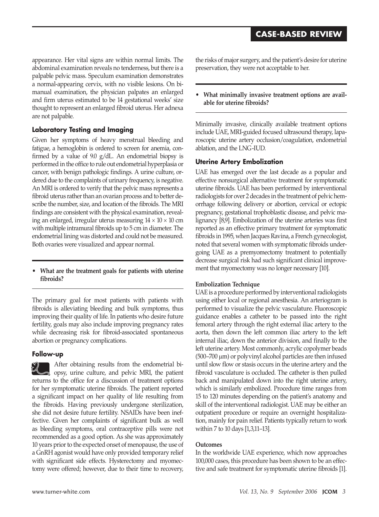appearance. Her vital signs are within normal limits. The abdominal examination reveals no tenderness, but there is a palpable pelvic mass. Speculum examination demonstrates a normal-appearing cervix, with no visible lesions. On bimanual examination, the physician palpates an enlarged and firm uterus estimated to be 14 gestational weeks' size thought to represent an enlarged fibroid uterus. Her adnexa are not palpable.

## **Laboratory Testing and Imaging**

Given her symptoms of heavy menstrual bleeding and fatigue, a hemoglobin is ordered to screen for anemia, confirmed by a value of 9.0 g/dL. An endometrial biopsy is performed in the office to rule out endometrial hyperplasia or cancer, with benign pathologic findings. A urine culture, ordered due to the complaints of urinary frequency, is negative. An MRI is ordered to verify that the pelvic mass represents a fibroid uterus rather than an ovarian process and to better describe the number, size, and location of the fibroids. The MRI findings are consistent with the physical examination, revealing an enlarged, irregular uterus measuring  $14 \times 10 \times 10$  cm with multiple intramural fibroids up to 5 cm in diameter. The endometrial lining was distorted and could not be measured. Both ovaries were visualized and appear normal.

## **• What are the treatment goals for patients with uterine fibroids?**

The primary goal for most patients with patients with fibroids is alleviating bleeding and bulk symptoms, thus improving their quality of life. In patients who desire future fertility, goals may also include improving pregnancy rates while decreasing risk for fibroid-associated spontaneous abortion or pregnancy complications.

## **Follow-up**

After obtaining results from the endometrial biopsy, urine culture, and pelvic MRI, the patient returns to the office for a discussion of treatment options for her symptomatic uterine fibroids. The patient reported a significant impact on her quality of life resulting from the fibroids. Having previously undergone sterilization, she did not desire future fertility. NSAIDs have been ineffective. Given her complaints of significant bulk as well as bleeding symptoms, oral contraceptive pills were not recommended as a good option. As she was approximately 10 years prior to the expected onset of menopause, the use of a GnRH agonist would have only provided temporary relief with significant side effects. Hysterectomy and myomectomy were offered; however, due to their time to recovery,

the risks of major surgery, and the patient's desire for uterine preservation, they were not acceptable to her.

**• What minimally invasive treatment options are available for uterine fibroids?**

Minimally invasive, clinically available treatment options include UAE, MRI-guided focused ultrasound therapy, laparoscopic uterine artery occlusion/coagulation, endometrial ablation, and the LNG-IUD.

## **Uterine Artery Embolization**

UAE has emerged over the last decade as a popular and effective nonsurgical alternative treatment for symptomatic uterine fibroids. UAE has been performed by interventional radiologists for over 2 decades in the treatment of pelvic hemorrhage following delivery or abortion, cervical or ectopic pregnancy, gestational trophoblastic disease, and pelvic malignancy [8,9]. Embolization of the uterine arteries was first reported as an effective primary treatment for symptomatic fibroids in 1995, when Jacques Ravina, a French gynecologist, noted that several women with symptomatic fibroids undergoing UaE as a premyomectomy treatment to potentially decrease surgical risk had such significant clinical improvement that myomectomy was no longer necessary [10].

## **Embolization Technique**

UAE is a procedure performed by interventional radiologists using either local or regional anesthesia. An arteriogram is performed to visualize the pelvic vasculature. Fluoroscopic guidance enables a catheter to be passed into the right femoral artery through the right external iliac artery to the aorta, then down the left common iliac artery to the left internal iliac, down the anterior division, and finally to the left uterine artery. Most commonly, acrylic copolymer beads (500–700 μm) or polyvinyl alcohol particles are then infused until slow flow or stasis occurs in the uterine artery and the fibroid vasculature is occluded. The catheter is then pulled back and manipulated down into the right uterine artery, which is similarly embolized. Procedure time ranges from 15 to 120 minutes depending on the patient's anatomy and skill of the interventional radiologist. UAE may be either an outpatient procedure or require an overnight hospitalization, mainly for pain relief. Patients typically return to work within 7 to 10 days [1,3,11–13].

## **Outcomes**

In the worldwide UAE experience, which now approaches 100,000 cases, this procedure has been shown to be an effective and safe treatment for symptomatic uterine fibroids [1].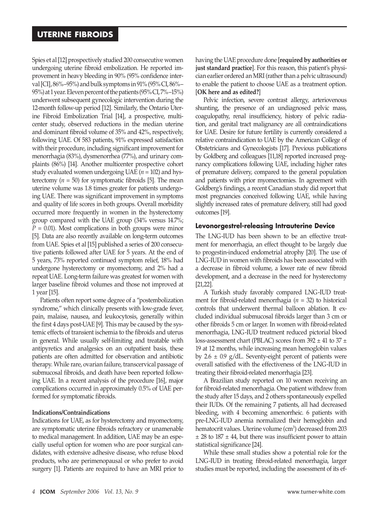Spies et al [12] prospectively studied 200 consecutive women undergoing uterine fibroid embolization. He reported improvement in heavy bleeding in 90% (95% confidence interval [CI], 86%–95%) and bulk symptoms in 91% (95% CI, 86%– 95%) at 1 year. Eleven percent of the patients (95% CI, 7%–15%) underwent subsequent gynecologic intervention during the 12-month follow-up period [12]. Similarly, the Ontario Uterine Fibroid Embolization Trial [14], a prospective, multicenter study, observed reductions in the median uterine and dominant fibroid volume of 35% and 42%, respectively, following UAE. Of 583 patients, 91% expressed satisfaction with their procedure, including significant improvement for menorrhagia (83%), dysmenorrhea (77%), and urinary complaints (86%) [14]. Another multicenter prospective cohort study evaluated women undergoing UAE (*n* = 102) and hysterectomy  $(n = 50)$  for symptomatic fibroids [5]. The mean uterine volume was 1.8 times greater for patients undergoing UAE. There was significant improvement in symptoms and quality of life scores in both groups. Overall morbidity occurred more frequently in women in the hysterectomy group compared with the UAE group (34% versus 14.7%; *P* = 0.01). Most complications in both groups were minor [5]. Data are also recently available on long-term outcomes from UAE. Spies et al [15] published a series of 200 consecutive patients followed after UAE for 5 years. At the end of 5 years, 73% reported continued symptom relief, 18% had undergone hysterectomy or myomectomy, and 2% had a repeat UAE. Long-term failure was greatest for women with larger baseline fibroid volumes and those not improved at 1 year [15].

Patients often report some degree of a "postembolization syndrome," which clinically presents with low-grade fever, pain, malaise, nausea, and leukocytosis, generally within the first 4 days post-UAE [9]. This may be caused by the systemic effects of transient ischemia to the fibroids and uterus in general. While usually self-limiting and treatable with antipyretics and analgesics on an outpatient basis, these patients are often admitted for observation and antibiotic therapy. While rare, ovarian failure, transcervical passage of submucosal fibroids, and death have been reported following UAE. In a recent analysis of the procedure [16], major complications occurred in approximately 0.5% of UAE performed for symptomatic fibroids.

#### **Indications/Contraindications**

Indications for UAE, as for hysterectomy and myomectomy, are symptomatic uterine fibroids refractory or unamenable to medical management. In addition, UAE may be an especially useful option for women who are poor surgical candidates, with extensive adhesive disease, who refuse blood products, who are perimenopausal or who prefer to avoid surgery [1]. Patients are required to have an MRI prior to having the UAE procedure done [**required by authorities or just standard practice**]. For this reason, this patient's physician earlier ordered an MRI (rather than a pelvic ultrasound) to enable the patient to choose UAE as a treatment option. [**OK here and as edited?**]

Pelvic infection, severe contrast allergy, arteriovenous shunting, the presence of an undiagnosed pelvic mass, coagulopathy, renal insufficiency, history of pelvic radiation, and genital tract malignancy are all contraindications for UAE. Desire for future fertility is currently considered a relative contraindication to UAE by the American College of Obstetricians and Gynecologists [17]. Previous publications by Goldberg and colleagues [11,18] reported increased pregnancy complications following UAE, including higher rates of premature delivery, compared to the general population and patients with prior myomectomies. In agreement with Goldberg's findings, a recent Canadian study did report that most pregnancies conceived following UAE, while having slightly increased rates of premature delivery, still had good outcomes [19].

#### **Levonorgestrel-releasing Intrauterine Device**

The LNG-IUD has been shown to be an effective treatment for menorrhagia, an effect thought to be largely due to progestin-induced endometrial atrophy [20]. The use of LNG-IUD in women with fibroids has been associated with a decrease in fibroid volume, a lower rate of new fibroid development, and a decrease in the need for hysterectomy [21,22].

A Turkish study favorably compared LNG-IUD treatment for fibroid-related menorrhagia (*n* = 32) to historical controls that underwent thermal balloon ablation. It excluded individual submucosal fibroids larger than 3 cm or other fibroids 5 cm or larger. In women with fibroid-related menorrhagia, LNG-IUD treatment reduced pictorial blood loss-assessment chart (PBLAC) scores from  $392 \pm 41$  to  $37 \pm 1$ 19 at 12 months, while increasing mean hemoglobin values by  $2.6 \pm 0.9$  g/dL. Seventy-eight percent of patients were overall satisfied with the effectiveness of the LNG-IUD in treating their fibroid-related menorrhagia [23].

A Brazilian study reported on 10 women receiving an for fibroid-related menorrhagia. One patient withdrew from the study after 15 days, and 2 others spontaneously expelled their IUDs. Of the remaining 7 patients, all had decreased bleeding, with 4 becoming amenorrheic. 6 patients with pre-LNG-IUD anemia normalized their hemoglobin and hematocrit values. Uterine volume (cm<sup>3</sup>) decreased from 203  $\pm$  28 to 187  $\pm$  44, but there was insufficient power to attain statistical significance [24].

While these small studies show a potential role for the LNG-IUD in treating fibroid-related menorrhagia, larger studies must be reported, including the assessment of its ef-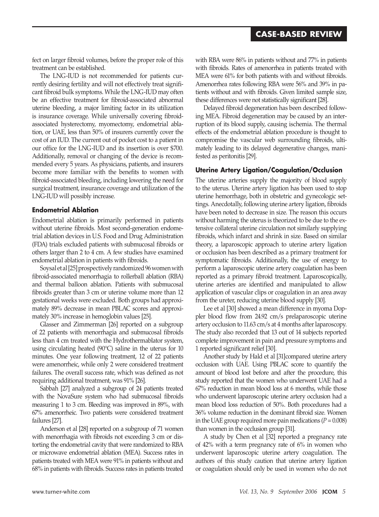## **case-Based review**

fect on larger fibroid volumes, before the proper role of this treatment can be established.

The LNG-IUD is not recommended for patients currently desiring fertility and will not effectively treat significant fibroid bulk symptoms. While the LNG-IUD may often be an effective treatment for fibroid-associated abnormal uterine bleeding, a major limiting factor in its utilization is insurance coverage. While universally covering fibroidassociated hysterectomy, myomectomy, endometrial ablation, or UAE, less than 50% of insurers currently cover the cost of an IUD. The current out of pocket cost to a patient in our office for the LNG-IUD and its insertion is over \$700. Additionally, removal or changing of the device is recommended every 5 years. As physicians, patients, and insurers become more familiar with the benefits to women with fibroid-associated bleeding, including lowering the need for surgical treatment, insurance coverage and utilization of the LNG-IUD will possibly increase.

## **Endometrial Ablation**

Endometrial ablation is primarily performed in patients without uterine fibroids. Most second-generation endometrial ablation devices in U.S. Food and Drug Administration (FDA) trials excluded patients with submucosal fibroids or others larger than 2 to 4 cm. A few studies have examined endometrial ablation in patients with fibroids.

Soysal et al [25] prospectively randomized 96 women with fibroid-associated menorrhagia to rollerball ablation (RBA) and thermal balloon ablation. Patients with submucosal fibroids greater than 3 cm or uterine volume more than 12 gestational weeks were excluded. Both groups had approximately 89% decrease in mean PBLAC scores and approximately 30% increase in hemoglobin values [25].

Glasser and Zimmerman [26] reported on a subgroup of 22 patients with menorrhagia and submucosal fibroids less than 4 cm treated with the Hydrothermablator system, using circulating heated (90°C) saline in the uterus for 10 minutes. One year following treatment, 12 of 22 patients were amenorrheic, while only 2 were considered treatment failures. The overall success rate, which was defined as not requiring additional treatment, was 91% [26].

Sabbah [27] analyzed a subgroup of 24 patients treated with the NovaSure system who had submucosal fibroids measuring 1 to 3 cm. Bleeding was improved in 89%, with 67% amenorrheic. Two patients were considered treatment failures [27].

Anderson et al [28] reported on a subgroup of 71 women with menorrhagia with fibroids not exceeding 3 cm or distorting the endometrial cavity that were randomized to RBA or microwave endometrial ablation (MEA). Success rates in patients treated with MEA were 91% in patients without and 68% in patients with fibroids. Success rates in patients treated with RBA were 86% in patients without and 77% in patients with fibroids. Rates of amenorrhea in patients treated with MEA were 61% for both patients with and without fibroids. Amenorrhea rates following RBA were 56% and 39% in patients without and with fibroids. Given limited sample size, these differences were not statistically significant [28].

Delayed fibroid degeneration has been described following MEA. Fibroid degeneration may be caused by an interruption of its blood supply, causing ischemia. The thermal effects of the endometrial ablation procedure is thought to compromise the vascular web surrounding fibroids, ultimately leading to its delayed degenerative changes, manifested as peritonitis [29].

## **Uterine Artery Ligation/Coagulation/Occlusion**

The uterine arteries supply the majority of blood supply to the uterus. Uterine artery ligation has been used to stop uterine hemorrhage, both in obstetric and gynecologic settings. Anecdotally, following uterine artery ligation, fibroids have been noted to decrease in size. The reason this occurs without harming the uterus is theorized to be due to the extensive collateral uterine circulation not similarly supplying fibroids, which infarct and shrink in size. Based on similar theory, a laparoscopic approach to uterine artery ligation or occlusion has been described as a primary treatment for symptomatic fibroids. Additionally, the use of energy to perform a laparoscopic uterine artery coagulation has been reported as a primary fibroid treatment. Laparoscopically, uterine arteries are identified and manipulated to allow application of vascular clips or coagulation in an area away from the ureter, reducing uterine blood supply [30].

Lee et al [30] showed a mean difference in myoma Doppler blood flow from 24.92 cm/s prelaparoscopic uterine artery occlusion to 11.63 cm/s at 4 months after laparoscopy. The study also recorded that 13 out of 14 subjects reported complete improvement in pain and pressure symptoms and 1 reported significant relief [30].

Another study by Hald et al [31]compared uterine artery occlusion with UAE. Using PBLAC score to quantify the amount of blood lost before and after the procedure, this study reported that the women who underwent UAE had a 67% reduction in mean blood loss at 6 months, while those who underwent laparoscopic uterine artery occlusion had a mean blood loss reduction of 50%. Both procedures had a 36% volume reduction in the dominant fibroid size. Women in the UAE group required more pain medications  $(P = 0.008)$ than women in the occlusion group [31].

A study by Chen et al [32] reported a pregnancy rate of 42% with a term pregnancy rate of 6% in women who underwent laparoscopic uterine artery coagulation. The authors of this study caution that uterine artery ligation or coagulation should only be used in women who do not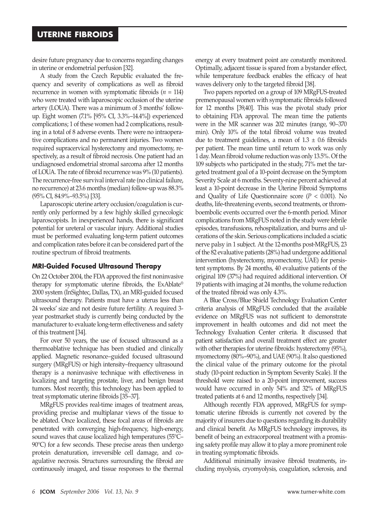desire future pregnancy due to concerns regarding changes in uterine or endometrial perfusion [32].

A study from the Czech Republic evaluated the frequency and severity of complications as well as fibroid recurrence in women with symptomatic fibroids  $(n = 114)$ who were treated with laparoscopic occlusion of the uterine artery (LOUA). There was a minimum of 3 months' followup. Eight women (7.1% [95% CI, 3.3%–14.4%]) experienced complications; 1 of these women had 2 complications, resulting in a total of 8 adverse events. There were no intraoperative complications and no permanent injuries. Two women required supracervical hysterectomy and myomectomy, respectively, as a result of fibroid necrosis. One patient had an undiagnosed endometrial stromal sarcoma after 12 months of LOUA. The rate of fibroid recurrence was 9% (10 patients). The recurrence-free survival interval rate (no clinical failure, no recurrence) at 23.6 months (median) follow-up was 88.3% (95% CI, 84.9%–93.5%) [33].

Laparoscopic uterine artery occlusion/coagulation is currently only performed by a few highly skilled gynecologic laparoscopists. In inexperienced hands, there is significant potential for ureteral or vascular injury. Additional studies must be performed evaluating long-term patient outcomes and complication rates before it can be considered part of the routine spectrum of fibroid treatments.

## **MRI-Guided Focused Ultrasound Therapy**

On 22 October 2004, the FDA approved the first noninvasive therapy for symptomatic uterine fibroids, the ExAblate® 2000 system (InSightec, Dallas, TX), an MRI-guided focused ultrasound therapy. Patients must have a uterus less than 24 weeks' size and not desire future fertility. A required 3 year postmarket study is currently being conducted by the manufacturer to evaluate long-term effectiveness and safety of this treatment [34].

For over 50 years, the use of focused ultrasound as a thermoablative technique has been studied and clinically applied. Magnetic resonance–guided focused ultrasound surgery (MRgFUS) or high intensity–frequency ultrasound therapy is a noninvasive technique with effectiveness in localizing and targeting prostate, liver, and benign breast tumors. Most recently, this technology has been applied to treat symptomatic uterine fibroids [35–37].

MRgFUS provides real-time images of treatment areas, providing precise and multiplanar views of the tissue to be ablated. Once localized, these focal areas of fibroids are penetrated with converging high-frequency, high-energy, sound waves that cause localized high temperatures (55°C– 90°C) for a few seconds. These precise areas then undergo protein denaturation, irreversible cell damage, and coagulative necrosis. Structures surrounding the fibroid are continuously imaged, and tissue responses to the thermal energy at every treatment point are constantly monitored. Optimally, adjacent tissue is spared from a bystander effect, while temperature feedback enables the efficacy of heat waves delivery only to the targeted fibroid [38].

Two papers reported on a group of 109 MRgFUS-treated premenopausal women with symptomatic fibroids followed for 12 months [39,40]. This was the pivotal study prior to obtaining FDA approval. The mean time the patients were in the MR scanner was 202 minutes (range, 90–370 min). Only 10% of the total fibroid volume was treated due to treatment guidelines, a mean of  $1.3 \pm 0.6$  fibroids per patient. The mean time until return to work was only 1 day. Mean fibroid volume reduction was only 13.5%. Of the 109 subjects who participated in the study, 71% met the targeted treatment goal of a 10-point decrease on the Symptom Severity Scale at 6 months. Seventy-nine percent achieved at least a 10-point decrease in the Uterine Fibroid Symptoms and Quality of Life Questionnaire score  $(P < 0.001)$ . No deaths, life-threatening events, second treatments, or thromboembolic events occurred over the 6-month period. Minor complications from MRgFUS noted in the study were febrile episodes, transfusions, rehospitalization, and burns and ulcerations of the skin. Serious complications included a sciatic nerve palsy in 1 subject. At the 12-months post-MRgFUS, 23 of the 82 evaluative patients (28%) had undergone additional intervention (hysterectomy, myomectomy, UAE) for persistent symptoms. By 24 months, 40 evaluative patients of the original 109 (37%) had required additional intervention. Of 19 patients with imaging at 24 months, the volume reduction of the treated fibroid was only 4.3%.

A Blue Cross/Blue Shield Technology Evaluation Center criteria analysis of MRgFUS concluded that the available evidence on MRgFUS was not sufficient to demonstrate improvement in health outcomes and did not meet the Technology Evaluation Center criteria. It discussed that patient satisfaction and overall treatment effect are greater with other therapies for uterine fibroids: hysterectomy (95%), myomectomy (80%–90%), and UAE (90%). It also questioned the clinical value of the primary outcome for the pivotal study (10-point reduction in Symptom Severity Scale). If the threshold were raised to a 20-point improvement, success would have occurred in only 54% and 32% of MRgFUS treated patients at 6 and 12 months, respectively [34].

Although recently FDA approved, MRgFUS for symptomatic uterine fibroids is currently not covered by the majority of insurers due to questions regarding its durability and clinical benefit. As MRgFUS technology improves, its benefit of being an extracorporeal treatment with a promising safety profile may allow it to play a more prominent role in treating symptomatic fibroids.

Additional minimally invasive fibroid treatments, including myolysis, cryomyolysis, coagulation, sclerosis, and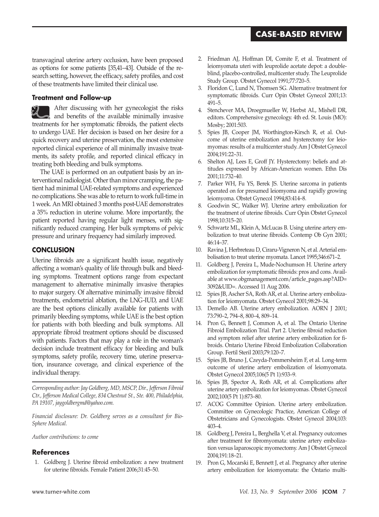# **case-Based review**

transvaginal uterine artery occlusion, have been proposed as options for some patients [35,41–43]. Outside of the research setting, however, the efficacy, safety profiles, and cost of these treatments have limited their clinical use.

## **Treatment and Follow-up**

After discussing with her gynecologist the risks and benefits of the available minimally invasive treatments for her symptomatic fibroids, the patient elects to undergo UAE. Her decision is based on her desire for a quick recovery and uterine preservation, the most extensive reported clinical experience of all minimally invasive treatments, its safety profile, and reported clinical efficacy in treating both bleeding and bulk symptoms.

The UAE is performed on an outpatient basis by an interventional radiologist. Other than minor cramping, the patient had minimal UAE-related symptoms and experienced no complications. She was able to return to work full-time in 1 week. An MRI obtained 3 months post-UAE demonstrates a 35% reduction in uterine volume. More importantly, the patient reported having regular light menses, with significantly reduced cramping. Her bulk symptoms of pelvic pressure and urinary frequency had similarly improved.

## **Conclusion**

Uterine fibroids are a significant health issue, negatively affecting a woman's quality of life through bulk and bleeding symptoms. Treatment options range from expectant management to alternative minimally invasive therapies to major surgery. Of alternative minimally invasive fibroid treatments, endometrial ablation, the LNG-IUD, and UAE are the best options clinically available for patients with primarily bleeding symptoms, while UAE is the best option for patients with both bleeding and bulk symptoms. All appropriate fibroid treatment options should be discussed with patients. Factors that may play a role in the woman's decision include treatment efficacy for bleeding and bulk symptoms, safety profile, recovery time, uterine preservation, insurance coverage, and clinical experience of the individual therapy.

*Corresponding author: Jay Goldberg, MD, MSCP, Dir., Jefferson Fibroid Ctr., Jefferson Medical College, 834 Chestnut St., Ste. 400, Philadelphia, PA 19107, jaygoldbergmd@yahoo.com.*

*Financial disclosure: Dr. Goldberg serves as a consultant for Bio-Sphere Medical.*

*Author contributions: to come*

## **References**

1. Goldberg J. Uterine fibroid embolization: a new treatment for uterine fibroids. Female Patient 2006;31:45–50.

- 2. Friedman AJ, Hoffman DI, Comite F, et al. Treatment of leiomyomata uteri with leuprolide acetate depot: a doubleblind, placebo-controlled, multicenter study. The Leuprolide Study Group. Obstet Gynecol 1991;77:720–5.
- 3. Floridon C, Lund N, Thomsen SG. Alternative treatment for symptomatic fibroids. Curr Opin Obstet Gynecol 2001;13: 491–5.
- 4. Stenchever MA, Droegmueller W, Herbst AL, Mishell DR, editors. Comprehensive gynecology. 4th ed. St. Louis (MO): Mosby; 2001:503.
- 5. Spies JB, Cooper JM, Worthington-Kirsch R, et al. Outcome of uterine embolization and hysterectomy for leiomyomas: results of a multicenter study. Am J Obstet Gynecol 2004;191:22–31.
- 6. Shelton AJ, Lees E, Groff JY. Hysterectomy: beliefs and attitudes expressed by African-American women. Ethn Dis 2001;11:732–40.
- 7. Parker WH, Fu YS, Berek JS. Uterine sarcoma in patients operated on for presumed leiomyoma and rapidly growing leiomyoma. Obstet Gynecol 1994;83:414–8.
- 8. Goodwin SC, Walker WJ. Uterine artery embolization for the treatment of uterine fibroids. Curr Opin Obstet Gynecol 1998;10:315–20.
- 9. Schwartz ML, Klein A, McLucas B. Using uterine artery embolization to treat uterine fibroids. Contemp Ob Gyn 2001; 46:14–37.
- 10. Ravina J, Herbreteau D, Ciraru-Vigneron N, et al. Arterial embolisation to treat uterine myomata. Lancet 1995;346:671–2.
- 11. Goldberg J, Pereira L, Mude-Nochumson H. Uterine artery embolization for symptomatic fibroids: pros and cons. Available at www.obgmanagement.com/article\_pages.asp?AID= 3092&UID=. Accessed 11 Aug 2006.
- 12. Spies JB, Ascher SA, Roth AR, et al. Uterine artery embolization for leiomyomata. Obstet Gynecol 2001;98:29–34.
- 13. Demello AB. Uterine artery embolization. AORN J 2001; 73:790–2, 794–8, 800–4, 809–14.
- 14. Pron G, Bennett J, Common A, et al. The Ontario Uterine Fibroid Embolization Trial. Part 2. Uterine fibroid reduction and symptom relief after uterine artery embolization for fibroids. Ontario Uterine Fibroid Embolization Collaboration Group. Fertil Steril 2003;79:120–7.
- 15. Spies JB, Bruno J, Czeyda-Pommersheim F, et al. Long-term outcome of uterine artery embolization of leiomyomata. Obstet Gynecol 2005;106(5 Pt 1):933–9.
- 16. Spies JB, Spector A, Roth AR, et al. Complications after uterine artery embolization for leiomyomas. Obstet Gynecol 2002;100(5 Pt 1):873–80.
- 17. ACOG Committee Opinion. Uterine artery embolization. Committee on Gynecologic Practice, American College of Obstetricians and Gynecologists. Obstet Gynecol 2004;103: 403–4.
- 18. Goldberg J, Pereira L, Berghella V, et al. Pregnancy outcomes after treatment for fibromyomata: uterine artery embolization versus laparoscopic myomectomy. Am J Obstet Gynecol 2004;191:18–21.
- 19. Pron G, Mocarski E, Bennett J, et al. Pregnancy after uterine artery embolization for leiomyomata: the Ontario multi-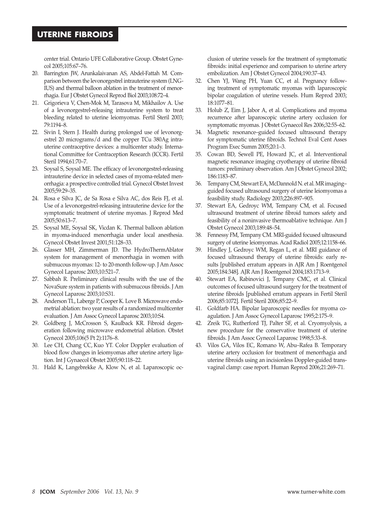center trial. Ontario UFE Collaborative Group. Obstet Gynecol 2005;105:67–76.

- 20. Barrington JW, Arunkalaivanan AS, Abdel-Fattah M. Comparison between the levonorgestrel intrauterine system (LNG-IUS) and thermal balloon ablation in the treatment of menorrhagia. Eur J Obstet Gynecol Reprod Biol 2003;108:72–4.
- 21. Grigorieva V, Chen-Mok M, Tarasova M, Mikhailov A. Use of a levonorgestrel-releasing intrauterine system to treat bleeding related to uterine leiomyomas. Fertil Steril 2003; 79:1194–8.
- 22. Sivin I, Stern J. Health during prolonged use of levonorgestrel 20 micrograms/d and the copper TCu 380Ag intrauterine contraceptive devices: a multicenter study. International Committee for Contraception Research (ICCR). Fertil Steril 1994;61:70–7.
- 23. Soysal S, Soysal ME. The efficacy of levonorgestrel-releasing intrauterine device in selected cases of myoma-related menorrhagia: a prospective controlled trial. Gynecol Obstet Invest 2005;59:29–35.
- 24. Rosa e Silva JC, de Sa Rosa e Silva AC, dos Reis FJ, et al. Use of a levonorgestrel-releasing intrauterine device for the symptomatic treatment of uterine myomas. J Reprod Med 2005;50:613–7.
- 25. Soysal ME, Soysal SK, Vicdan K. Thermal balloon ablation in myoma-induced menorrhagia under local anesthesia. Gynecol Obstet Invest 2001;51:128–33.
- 26. Glasser MH, Zimmerman JD. The HydroThermAblator system for management of menorrhagia in women with submucous myomas: 12- to 20-month follow-up. J Am Assoc Gynecol Laparosc 2003;10:521–7.
- 27. Sabbah R. Preliminary clinical results with the use of the NovaSure system in patients with submucous fibroids. J Am Gynecol Laparosc 2003;10:S31.
- 28. Anderson TL, Laberge P, Cooper K. Love B. Microwave endometrial ablation: two year results of a randomized multicenter evaluation. J Am Assoc Gynecol Laparosc 2003;10:S4.
- 29. Goldberg J, McCrosson S, Kaulback KR. Fibroid degeneration following microwave endometrial ablation. Obstet Gynecol 2005;106(5 Pt 2):1176–8.
- 30. Lee CH, Chang CC, Kuo YT. Color Doppler evaluation of blood flow changes in leiomyomas after uterine artery ligation. Int J Gynaecol Obstet 2005;90:118–22.
- 31. Hald K, Langebrekke A, Klow N, et al. Laparoscopic oc-

clusion of uterine vessels for the treatment of symptomatic fibroids: initial experience and comparison to uterine artery embolization. Am J Obstet Gynecol 2004;190:37–43.

- 32. Chen YJ, Wang PH, Yuan CC, et al. Pregnancy following treatment of symptomatic myomas with laparoscopic bipolar coagulation of uterine vessels. Hum Reprod 2003; 18:1077–81.
- 33. Holub Z, Eim J, Jabor A, et al. Complications and myoma recurrence after laparoscopic uterine artery occlusion for symptomatic myomas. J Obstet Gynaecol Res 2006;32:55–62.
- 34. Magnetic resonance–guided focused ultrasound therapy for symptomatic uterine fibroids. Technol Eval Cent Asses Program Exec Summ 2005;20:1–3.
- 35. Cowan BD, Sewell PE, Howard JC, et al. Interventional magnetic resonance imaging cryotherapy of uterine fibroid tumors: preliminary observation. Am J Obstet Gynecol 2002; 186:1183–87.
- 36. Tempany CM, Stewart EA, McDannold N. et al. MR imaging– guided focused ultrasound surgery of uterine leiomyomas a feasibility study. Radiology 2003;226:897–905.
- 37. Stewart EA, Gedroyc WM, Tempany CM, et al. Focused ultrasound treatment of uterine fibroid tumors safety and feasibility of a noninvasive thermoablative technique. Am J Obstet Gynecol 2003;189:48–54.
- 38. Fennessy FM, Tempany CM. MRI-guided focused ultrasound surgery of uterine leiomyomas. Acad Radiol 2005;12:1158–66.
- 39. Hindley J, Gedroyc WM, Regan L, et al. MRI guidance of focused ultrasound therapy of uterine fibroids: early results [published erratum appears in AJR Am J Roentgenol 2005;184:348]. AJR Am J Roentgenol 2004;183:1713–9.
- 40. Stewart EA, Rabinovici J, Tempany CMC, et al. Clinical outcomes of focused ultrasound surgery for the treatment of uterine fibroids [published erratum appears in Fertil Steril 2006;85:1072]. Fertil Steril 2006;85:22–9.
- 41. Goldfarb HA. Bipolar laparoscopic needles for myoma coagulation. J Am Assoc Gynecol Laparosc 1995;2:175–9.
- 42. Zreik TG, Rutherford TJ, Palter SF, et al. Cryomyolysis, a new procedure for the conservative treatment of uterine fibroids. J Am Assoc Gynecol Laparosc 1998;5:33–8.
- 43. Vilos GA, Vilos EC, Romano W, Abu–Rafea B. Temporary uterine artery occlusion for treatment of menorrhagia and uterine fibroids using an incisionless Doppler-guided transvaginal clamp: case report. Human Reprod 2006;21:269–71.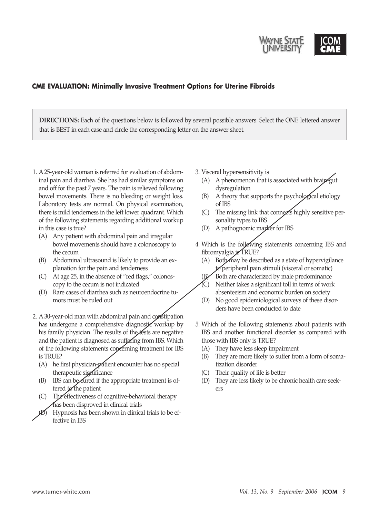

## **CME EVALUATION: Minimally Invasive Treatment Options for Uterine Fibroids**

**DIRECTIONS:** Each of the questions below is followed by several possible answers. Select the ONE lettered answer that is BEST in each case and circle the corresponding letter on the answer sheet.

- 1. A 25-year-old woman is referred for evaluation of abdominal pain and diarrhea. She has had similar symptoms on and off for the past 7 years. The pain is relieved following bowel movements. There is no bleeding or weight loss. Laboratory tests are normal. On physical examination, there is mild tenderness in the left lower quadrant. Which of the following statements regarding additional workup in this case is true?
	- (A) Any patient with abdominal pain and irregular bowel movements should have a colonoscopy to the cecum
	- (B) Abdominal ultrasound is likely to provide an explanation for the pain and tenderness
	- (C) At age 25, in the absence of "red flags," colonoscopy to the cecum is not indicated
	- (D) Rare cases of diarrhea such as neuroendocrine tumors must be ruled out
- 2. A 30-year-old man with abdominal pain and constipation has undergone a comprehensive diagnostic workup by his family physician. The results of the tests are negative and the patient is diagnosed as suffering from IBS. Which of the following statements concerning treatment for IBS is TRUE?
	- (A) he first physician-patient encounter has no special therapeutic significance
	- (B) IBS can be cured if the appropriate treatment is offered to the patient
	- (C) The effectiveness of cognitive-behavioral therapy has been disproved in clinical trials
	- Hypnosis has been shown in clinical trials to be effective in IBS

3. Visceral hypersensitivity is

- $(A)$  A phenomenon that is associated with brain-gut dysregulation
- (B) A theory that supports the psychological etiology of IBS
- (C) The missing link that connects highly sensitive personality types to IBS
- (D) A pathognomic marker for IBS
- 4. Which is the following statements concerning IBS and fibromyalgia is TRUE?
	- $(A)$  Both may be described as a state of hypervigilance  $to$  peripheral pain stimuli (visceral or somatic)
		- Both are characterized by male predominance
	- Neither takes a significant toll in terms of work absenteeism and economic burden on society
	- (D) No good epidemiological surveys of these disorders have been conducted to date
- 5. Which of the following statements about patients with IBS and another functional disorder as compared with those with IBS only is TRUE?
	- (A) They have less sleep impairment
	- (B) They are more likely to suffer from a form of somatization disorder
	- (C) Their quality of life is better
	- (D) They are less likely to be chronic health care seekers